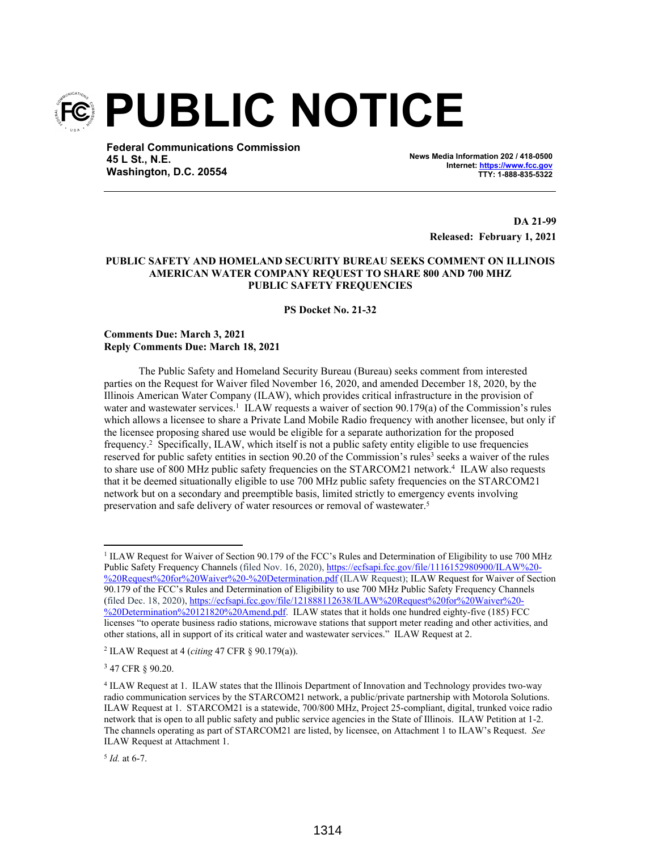

**Federal Communications Commission 45 L St., N.E. Washington, D.C. 20554**

**News Media Information 202 / 418-0500 Internet: https://www.fcc.gov TTY: 1-888-835-5322**

> **DA 21-99 Released: February 1, 2021**

## **PUBLIC SAFETY AND HOMELAND SECURITY BUREAU SEEKS COMMENT ON ILLINOIS AMERICAN WATER COMPANY REQUEST TO SHARE 800 AND 700 MHZ PUBLIC SAFETY FREQUENCIES**

**PS Docket No. 21-32**

## **Comments Due: March 3, 2021 Reply Comments Due: March 18, 2021**

The Public Safety and Homeland Security Bureau (Bureau) seeks comment from interested parties on the Request for Waiver filed November 16, 2020, and amended December 18, 2020, by the Illinois American Water Company (ILAW), which provides critical infrastructure in the provision of water and wastewater services.<sup>1</sup> ILAW requests a waiver of section 90.179(a) of the Commission's rules which allows a licensee to share a Private Land Mobile Radio frequency with another licensee, but only if the licensee proposing shared use would be eligible for a separate authorization for the proposed frequency.<sup>2</sup> Specifically, ILAW, which itself is not a public safety entity eligible to use frequencies reserved for public safety entities in section 90.20 of the Commission's rules<sup>3</sup> seeks a waiver of the rules to share use of 800 MHz public safety frequencies on the STARCOM21 network.<sup>4</sup> ILAW also requests that it be deemed situationally eligible to use 700 MHz public safety frequencies on the STARCOM21 network but on a secondary and preemptible basis, limited strictly to emergency events involving preservation and safe delivery of water resources or removal of wastewater.<sup>5</sup>

<sup>3</sup> 47 CFR § 90.20.

<sup>&</sup>lt;sup>1</sup> ILAW Request for Waiver of Section 90.179 of the FCC's Rules and Determination of Eligibility to use 700 MHz Public Safety Frequency Channels (filed Nov. 16, 2020), https://ecfsapi.fcc.gov/file/1116152980900/ILAW%20- %20Request%20for%20Waiver%20-%20Determination.pdf (ILAW Request); ILAW Request for Waiver of Section 90.179 of the FCC's Rules and Determination of Eligibility to use 700 MHz Public Safety Frequency Channels (filed Dec. 18, 2020), https://ecfsapi.fcc.gov/file/121888112638/ILAW%20Request%20for%20Waiver%20- %20Determination%20121820%20Amend.pdf. ILAW states that it holds one hundred eighty-five (185) FCC licenses "to operate business radio stations, microwave stations that support meter reading and other activities, and other stations, all in support of its critical water and wastewater services." ILAW Request at 2.

<sup>2</sup> ILAW Request at 4 (*citing* 47 CFR § 90.179(a)).

<sup>4</sup> ILAW Request at 1. ILAW states that the Illinois Department of Innovation and Technology provides two-way radio communication services by the STARCOM21 network, a public/private partnership with Motorola Solutions. ILAW Request at 1. STARCOM21 is a statewide, 700/800 MHz, Project 25-compliant, digital, trunked voice radio network that is open to all public safety and public service agencies in the State of Illinois. ILAW Petition at 1-2. The channels operating as part of STARCOM21 are listed, by licensee, on Attachment 1 to ILAW's Request. *See* ILAW Request at Attachment 1.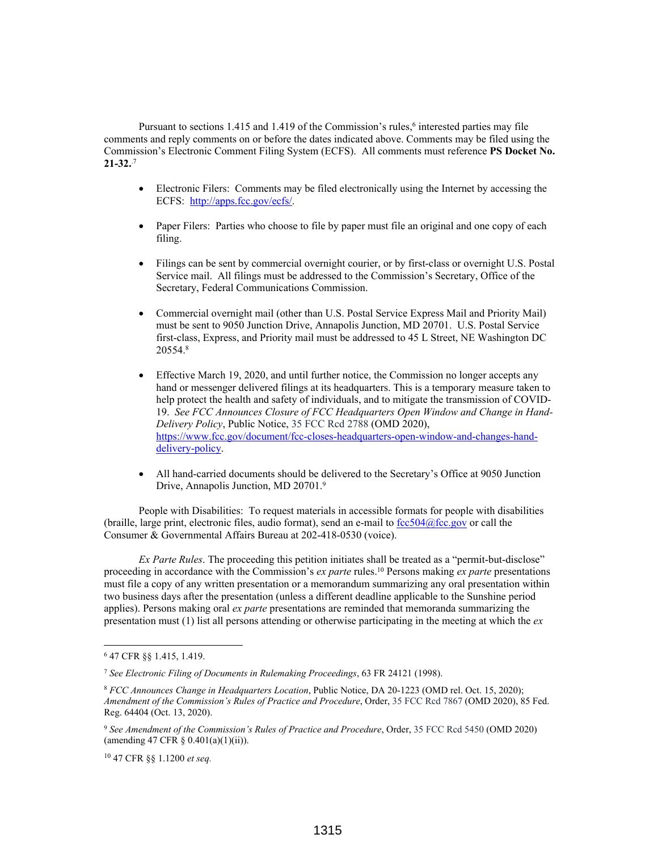Pursuant to sections 1.415 and 1.419 of the Commission's rules,<sup>6</sup> interested parties may file comments and reply comments on or before the dates indicated above. Comments may be filed using the Commission's Electronic Comment Filing System (ECFS). All comments must reference **PS Docket No. 21-32.**.7

- Electronic Filers: Comments may be filed electronically using the Internet by accessing the ECFS: http://apps.fcc.gov/ecfs/.
- Paper Filers: Parties who choose to file by paper must file an original and one copy of each filing.
- Filings can be sent by commercial overnight courier, or by first-class or overnight U.S. Postal Service mail. All filings must be addressed to the Commission's Secretary, Office of the Secretary, Federal Communications Commission.
- Commercial overnight mail (other than U.S. Postal Service Express Mail and Priority Mail) must be sent to 9050 Junction Drive, Annapolis Junction, MD 20701. U.S. Postal Service first-class, Express, and Priority mail must be addressed to 45 L Street, NE Washington DC 20554.<sup>8</sup>
- Effective March 19, 2020, and until further notice, the Commission no longer accepts any hand or messenger delivered filings at its headquarters. This is a temporary measure taken to help protect the health and safety of individuals, and to mitigate the transmission of COVID-19. *See FCC Announces Closure of FCC Headquarters Open Window and Change in Hand-Delivery Policy*, Public Notice, 35 FCC Rcd 2788 (OMD 2020), https://www.fcc.gov/document/fcc-closes-headquarters-open-window-and-changes-handdelivery-policy.
- All hand-carried documents should be delivered to the Secretary's Office at 9050 Junction Drive, Annapolis Junction, MD 20701.<sup>9</sup>

People with Disabilities: To request materials in accessible formats for people with disabilities (braille, large print, electronic files, audio format), send an e-mail to  $fcc504@$  fcc.gov or call the Consumer & Governmental Affairs Bureau at 202-418-0530 (voice).

*Ex Parte Rules*. The proceeding this petition initiates shall be treated as a "permit-but-disclose" proceeding in accordance with the Commission's *ex parte* rules.<sup>10</sup> Persons making *ex parte* presentations must file a copy of any written presentation or a memorandum summarizing any oral presentation within two business days after the presentation (unless a different deadline applicable to the Sunshine period applies). Persons making oral *ex parte* presentations are reminded that memoranda summarizing the presentation must (1) list all persons attending or otherwise participating in the meeting at which the *ex*

<sup>6</sup> 47 CFR §§ 1.415, 1.419.

<sup>7</sup> *See Electronic Filing of Documents in Rulemaking Proceedings*, 63 FR 24121 (1998).

<sup>8</sup> *FCC Announces Change in Headquarters Location*, Public Notice, DA 20-1223 (OMD rel. Oct. 15, 2020); *Amendment of the Commission's Rules of Practice and Procedure*, Order, 35 FCC Rcd 7867 (OMD 2020), 85 Fed. Reg. 64404 (Oct. 13, 2020).

<sup>9</sup> *See Amendment of the Commission's Rules of Practice and Procedure*, Order, 35 FCC Rcd 5450 (OMD 2020) (amending 47 CFR  $\S$  0.401(a)(1)(ii)).

<sup>10</sup> 47 CFR §§ 1.1200 *et seq.*